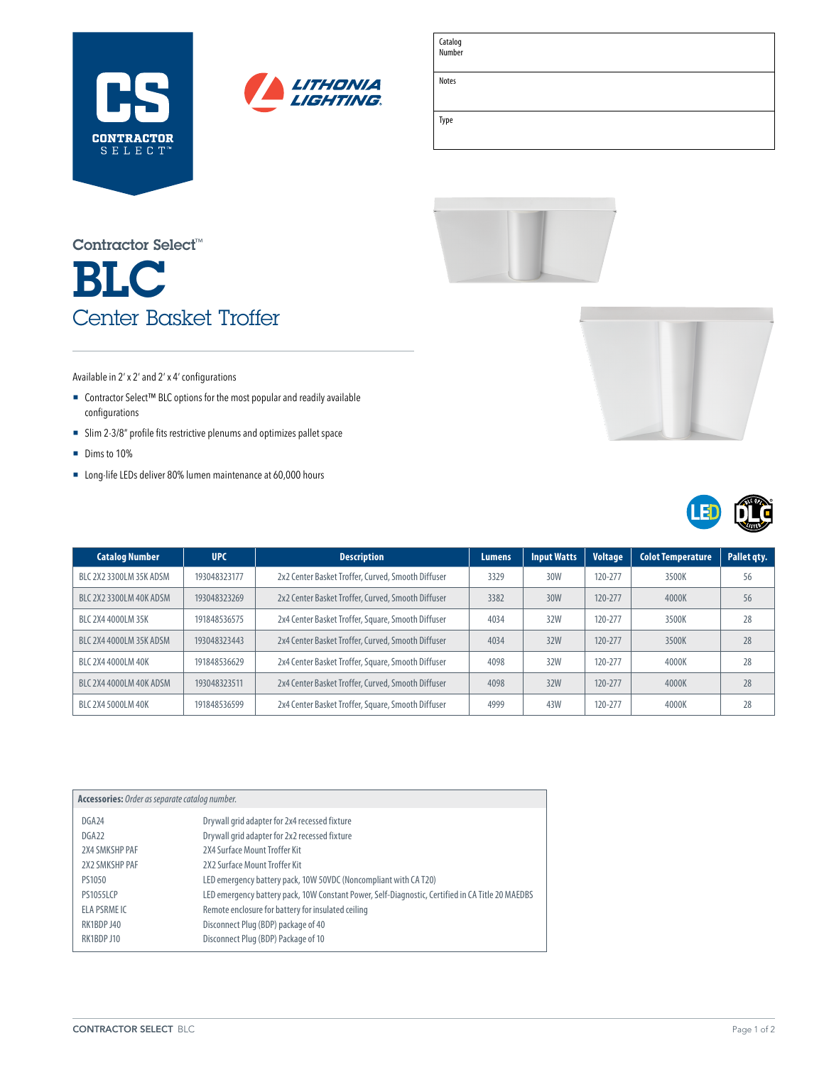



| Catalog |  |
|---------|--|
| Number  |  |

Notes

Type

# BLC Center Basket Troffer Contractor Select™



### Available in 2' x 2' and 2' x 4' configurations

- Contractor Select™ BLC options for the most popular and readily available configurations
- ¡ Slim 2-3/8" profile fits restrictive plenums and optimizes pallet space
- **Dims to 10%**
- Long-life LEDs deliver 80% lumen maintenance at 60,000 hours

| <b>Catalog Number</b>   | <b>UPC</b>   | <b>Description</b>                                 | <b>Lumens</b> | <b>Input Watts</b> | <b>Voltage</b> | <b>Colot Temperature</b> | Pallet gty. |
|-------------------------|--------------|----------------------------------------------------|---------------|--------------------|----------------|--------------------------|-------------|
| BLC 2X2 3300LM 35K ADSM | 193048323177 | 2x2 Center Basket Troffer, Curved, Smooth Diffuser | 3329          | 30W                | 120-277        | 3500K                    | 56          |
| BLC 2X2 3300LM 40K ADSM | 193048323269 | 2x2 Center Basket Troffer, Curved, Smooth Diffuser | 3382          | 30W                | $120 - 277$    | 4000K                    | 56          |
| BLC 2X4 4000LM 35K      | 191848536575 | 2x4 Center Basket Troffer, Square, Smooth Diffuser | 4034          | 32W                | 120-277        | 3500K                    | 28          |
| BLC 2X4 4000LM 35K ADSM | 193048323443 | 2x4 Center Basket Troffer, Curved, Smooth Diffuser | 4034          | 32W                | 120-277        | 3500K                    | 28          |
| BLC 2X4 4000LM 40K      | 191848536629 | 2x4 Center Basket Troffer, Square, Smooth Diffuser | 4098          | 32W                | 120-277        | 4000K                    | 28          |
| BLC 2X4 4000LM 40K ADSM | 193048323511 | 2x4 Center Basket Troffer, Curved, Smooth Diffuser | 4098          | 32W                | 120-277        | 4000K                    | 28          |
| BLC 2X4 5000LM 40K      | 191848536599 | 2x4 Center Basket Troffer, Square, Smooth Diffuser | 4999          | 43W                | 120-277        | 4000K                    | 28          |

| Accessories: Order as separate catalog number. |                                                                                                  |  |  |  |
|------------------------------------------------|--------------------------------------------------------------------------------------------------|--|--|--|
| DGA24                                          | Drywall grid adapter for 2x4 recessed fixture                                                    |  |  |  |
| DGA <sub>22</sub>                              | Drywall grid adapter for 2x2 recessed fixture                                                    |  |  |  |
| 2X4 SMKSHP PAF                                 | 2X4 Surface Mount Troffer Kit                                                                    |  |  |  |
| 2X2 SMKSHP PAF                                 | 2X2 Surface Mount Troffer Kit                                                                    |  |  |  |
| PS1050                                         | LED emergency battery pack, 10W 50VDC (Noncompliant with CA T20)                                 |  |  |  |
| <b>PS1055LCP</b>                               | LED emergency battery pack, 10W Constant Power, Self-Diagnostic, Certified in CA Title 20 MAEDBS |  |  |  |
| ELA PSRME IC                                   | Remote enclosure for battery for insulated ceiling                                               |  |  |  |
| RK1BDP J40                                     | Disconnect Plug (BDP) package of 40                                                              |  |  |  |
| RK1BDP J10                                     | Disconnect Plug (BDP) Package of 10                                                              |  |  |  |